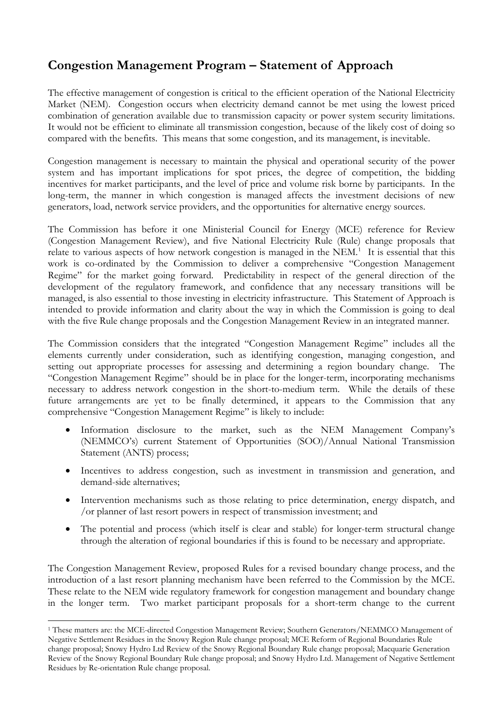## **Congestion Management Program – Statement of Approach**

The effective management of congestion is critical to the efficient operation of the National Electricity Market (NEM). Congestion occurs when electricity demand cannot be met using the lowest priced combination of generation available due to transmission capacity or power system security limitations. It would not be efficient to eliminate all transmission congestion, because of the likely cost of doing so compared with the benefits. This means that some congestion, and its management, is inevitable.

Congestion management is necessary to maintain the physical and operational security of the power system and has important implications for spot prices, the degree of competition, the bidding incentives for market participants, and the level of price and volume risk borne by participants. In the long-term, the manner in which congestion is managed affects the investment decisions of new generators, load, network service providers, and the opportunities for alternative energy sources.

The Commission has before it one Ministerial Council for Energy (MCE) reference for Review (Congestion Management Review), and five National Electricity Rule (Rule) change proposals that relate to various aspects of how network congestion is managed in the NEM.<sup>[1](#page-0-0)</sup> It is essential that this work is co-ordinated by the Commission to deliver a comprehensive "Congestion Management Regime" for the market going forward. Predictability in respect of the general direction of the development of the regulatory framework, and confidence that any necessary transitions will be managed, is also essential to those investing in electricity infrastructure. This Statement of Approach is intended to provide information and clarity about the way in which the Commission is going to deal with the five Rule change proposals and the Congestion Management Review in an integrated manner.

The Commission considers that the integrated "Congestion Management Regime" includes all the elements currently under consideration, such as identifying congestion, managing congestion, and setting out appropriate processes for assessing and determining a region boundary change. The "Congestion Management Regime" should be in place for the longer-term, incorporating mechanisms necessary to address network congestion in the short-to-medium term. While the details of these future arrangements are yet to be finally determined, it appears to the Commission that any comprehensive "Congestion Management Regime" is likely to include:

- Information disclosure to the market, such as the NEM Management Company's (NEMMCO's) current Statement of Opportunities (SOO)/Annual National Transmission Statement (ANTS) process;
- Incentives to address congestion, such as investment in transmission and generation, and demand-side alternatives;
- Intervention mechanisms such as those relating to price determination, energy dispatch, and /or planner of last resort powers in respect of transmission investment; and
- The potential and process (which itself is clear and stable) for longer-term structural change through the alteration of regional boundaries if this is found to be necessary and appropriate.

The Congestion Management Review, proposed Rules for a revised boundary change process, and the introduction of a last resort planning mechanism have been referred to the Commission by the MCE. These relate to the NEM wide regulatory framework for congestion management and boundary change in the longer term. Two market participant proposals for a short-term change to the current

 $\overline{a}$ 

<span id="page-0-0"></span><sup>1</sup> These matters are: the MCE-directed Congestion Management Review; Southern Generators/NEMMCO Management of Negative Settlement Residues in the Snowy Region Rule change proposal; MCE Reform of Regional Boundaries Rule change proposal; Snowy Hydro Ltd Review of the Snowy Regional Boundary Rule change proposal; Macquarie Generation Review of the Snowy Regional Boundary Rule change proposal; and Snowy Hydro Ltd. Management of Negative Settlement Residues by Re-orientation Rule change proposal.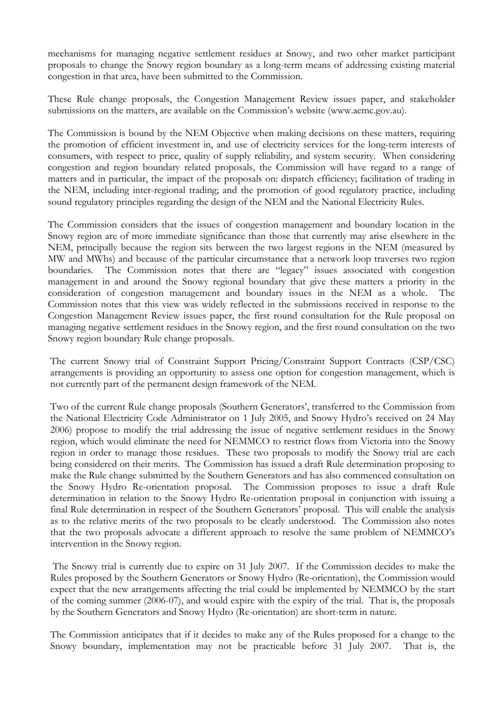mechanisms for managing negative settlement residues at Snowy, and two other market participant proposals to change the Snowy region boundary as a long-term means of addressing existing material congestion in that area, have been submitted to the Commission.

These Rule change proposals, the Congestion Management Review issues paper, and stakeholder submissions on the matters, are available on the Commission's website (www.aemc.gov.au).

The Commission is bound by the NEM Objective when making decisions on these matters, requiring the promotion of efficient investment in, and use of electricity services for the long-term interests of consumers, with respect to price, quality of supply reliability, and system security. When considering congestion and region boundary related proposals, the Commission will have regard to a range of matters and in particular, the impact of the proposals on: dispatch efficiency; facilitation of trading in the NEM, including inter-regional trading; and the promotion of good regulatory practice, including sound regulatory principles regarding the design of the NEM and the National Electricity Rules.

The Commission considers that the issues of congestion management and boundary location in the Snowy region are of more immediate significance than those that currently may arise elsewhere in the NEM, principally because the region sits between the two largest regions in the NEM (measured by MW and MWhs) and because of the particular circumstance that a network loop traverses two region boundaries. The Commission notes that there are "legacy" issues associated with congestion management in and around the Snowy regional boundary that give these matters a priority in the consideration of congestion management and boundary issues in the NEM as a whole. The Commission notes that this view was widely reflected in the submissions received in response to the Congestion Management Review issues paper, the first round consultation for the Rule proposal on managing negative settlement residues in the Snowy region, and the first round consultation on the two Snowy region boundary Rule change proposals.

The current Snowy trial of Constraint Support Pricing/Constraint Support Contracts (CSP/CSC) arrangements is providing an opportunity to assess one option for congestion management, which is not currently part of the permanent design framework of the NEM.

Two of the current Rule change proposals (Southern Generators', transferred to the Commission from the National Electricity Code Administrator on 1 July 2005, and Snowy Hydro's received on 24 May 2006) propose to modify the trial addressing the issue of negative settlement residues in the Snowy region, which would eliminate the need for NEMMCO to restrict flows from Victoria into the Snowy region in order to manage those residues. These two proposals to modify the Snowy trial are each being considered on their merits. The Commission has issued a draft Rule determination proposing to make the Rule change submitted by the Southern Generators and has also commenced consultation on the Snowy Hydro Re-orientation proposal. The Commission proposes to issue a draft Rule determination in relation to the Snowy Hydro Re-orientation proposal in conjunction with issuing a final Rule determination in respect of the Southern Generators' proposal. This will enable the analysis as to the relative merits of the two proposals to be clearly understood. The Commission also notes that the two proposals advocate a different approach to resolve the same problem of NEMMCO's intervention in the Snowy region.

 The Snowy trial is currently due to expire on 31 July 2007. If the Commission decides to make the Rules proposed by the Southern Generators or Snowy Hydro (Re-orientation), the Commission would expect that the new arrangements affecting the trial could be implemented by NEMMCO by the start of the coming summer (2006-07), and would expire with the expiry of the trial. That is, the proposals by the Southern Generators and Snowy Hydro (Re-orientation) are short-term in nature.

The Commission anticipates that if it decides to make any of the Rules proposed for a change to the Snowy boundary, implementation may not be practicable before 31 July 2007. That is, the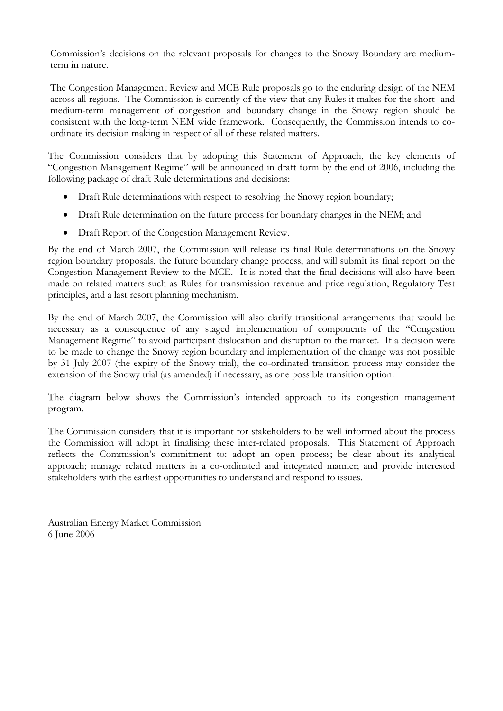Commission's decisions on the relevant proposals for changes to the Snowy Boundary are mediumterm in nature.

The Congestion Management Review and MCE Rule proposals go to the enduring design of the NEM across all regions. The Commission is currently of the view that any Rules it makes for the short- and medium-term management of congestion and boundary change in the Snowy region should be consistent with the long-term NEM wide framework. Consequently, the Commission intends to coordinate its decision making in respect of all of these related matters.

The Commission considers that by adopting this Statement of Approach, the key elements of "Congestion Management Regime" will be announced in draft form by the end of 2006, including the following package of draft Rule determinations and decisions:

- Draft Rule determinations with respect to resolving the Snowy region boundary;
- Draft Rule determination on the future process for boundary changes in the NEM; and
- Draft Report of the Congestion Management Review.

By the end of March 2007, the Commission will release its final Rule determinations on the Snowy region boundary proposals, the future boundary change process, and will submit its final report on the Congestion Management Review to the MCE. It is noted that the final decisions will also have been made on related matters such as Rules for transmission revenue and price regulation, Regulatory Test principles, and a last resort planning mechanism.

By the end of March 2007, the Commission will also clarify transitional arrangements that would be necessary as a consequence of any staged implementation of components of the "Congestion Management Regime" to avoid participant dislocation and disruption to the market. If a decision were to be made to change the Snowy region boundary and implementation of the change was not possible by 31 July 2007 (the expiry of the Snowy trial), the co-ordinated transition process may consider the extension of the Snowy trial (as amended) if necessary, as one possible transition option.

The diagram below shows the Commission's intended approach to its congestion management program.

The Commission considers that it is important for stakeholders to be well informed about the process the Commission will adopt in finalising these inter-related proposals. This Statement of Approach reflects the Commission's commitment to: adopt an open process; be clear about its analytical approach; manage related matters in a co-ordinated and integrated manner; and provide interested stakeholders with the earliest opportunities to understand and respond to issues.

Australian Energy Market Commission 6 June 2006